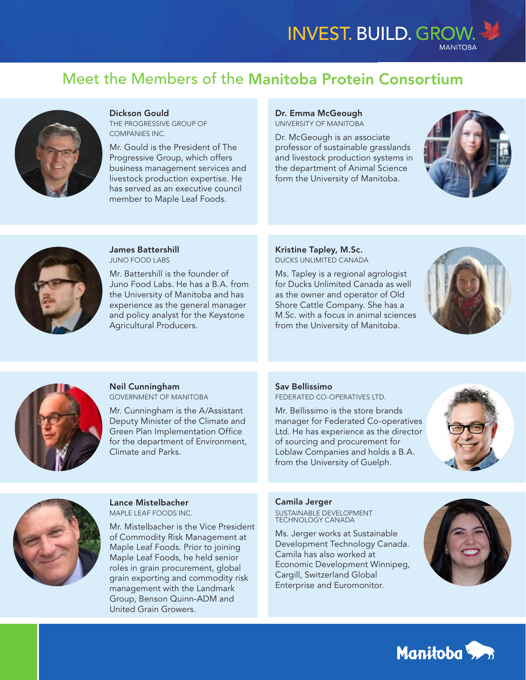# Meet the Members of the Manitoba Protein Consortium



### Dickson Gould

THE PROGRESSIVE GROUP OF COMPANIES INC.

Mr. Gould is the President of The Progressive Group, which offers business management services and livestock production expertise. He has served as an executive council member to Maple Leaf Foods.

## Dr. Emma McGeough

UNIVERSITY OF MANITOBA

Dr. McGeough is an associate professor of sustainable grasslands and livestock production systems in the department of Animal Science form the University of Manitoba.





James Battershill JUNO FOOD LABS

Mr. Battershill is the founder of Juno Food Labs. He has a B.A. from the University of Manitoba and has experience as the general manager and policy analyst for the Keystone Agricultural Producers.

Kristine Tapley, M.Sc. DUCKS UNLIMITED CANADA

Ms. Tapley is a regional agrologist for Ducks Unlimited Canada as well as the owner and operator of Old Shore Cattle Company. She has a M.Sc. with a focus in animal sciences from the University of Manitoba.





Neil Cunningham GOVERNMENT OF MANITOBA

Mr. Cunningham is the A/Assistant Deputy Minister of the Climate and Green Plan Implementation Office for the department of Environment, Climate and Parks.

#### Sav Bellissimo

FEDERATED CO-OPERATIVES LTD.

Mr. Bellissimo is the store brands manager for Federated Co-operatives Ltd. He has experience as the director of sourcing and procurement for Loblaw Companies and holds a B.A. from the University of Guelph.





Lance Mistelbacher MAPLE LEAF FOODS INC.

Mr. Mistelbacher is the Vice President of Commodity Risk Management at Maple Leaf Foods. Prior to joining Maple Leaf Foods, he held senior roles in grain procurement, global grain exporting and commodity risk management with the Landmark Group, Benson Quinn-ADM and United Grain Growers.

### Camila Jerger

SUSTAINABLE DEVELOPMENT TECHNOLOGY CANADA

Ms. Jerger works at Sustainable Development Technology Canada. Camila has also worked at Economic Development Winnipeg, Cargill, Switzerland Global Enterprise and Euromonitor.



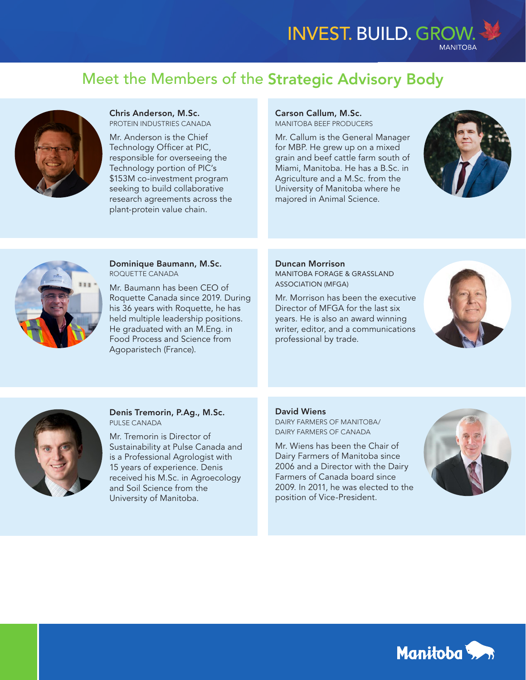# Meet the Members of the Strategic Advisory Body



Chris Anderson, M.Sc. PROTEIN INDUSTRIES CANADA

Mr. Anderson is the Chief Technology Officer at PIC, responsible for overseeing the Technology portion of PIC's \$153M co-investment program seeking to build collaborative research agreements across the plant-protein value chain.

## Carson Callum, M.Sc.

MANITOBA BEEF PRODUCERS

Mr. Callum is the General Manager for MBP. He grew up on a mixed grain and beef cattle farm south of Miami, Manitoba. He has a B.Sc. in Agriculture and a M.Sc. from the University of Manitoba where he majored in Animal Science.





Dominique Baumann, M.Sc. ROQUETTE CANADA

Mr. Baumann has been CEO of Roquette Canada since 2019. During his 36 years with Roquette, he has held multiple leadership positions. He graduated with an M.Eng. in Food Process and Science from Agoparistech (France).

#### Duncan Morrison

MANITOBA FORAGE & GRASSLAND ASSOCIATION (MFGA)

Mr. Morrison has been the executive Director of MFGA for the last six years. He is also an award winning writer, editor, and a communications professional by trade.





Denis Tremorin, P.Ag., M.Sc. PULSE CANADA

Mr. Tremorin is Director of Sustainability at Pulse Canada and is a Professional Agrologist with 15 years of experience. Denis received his M.Sc. in Agroecology and Soil Science from the University of Manitoba.

### David Wiens

DAIRY FARMERS OF MANITOBA/ DAIRY FARMERS OF CANADA

Mr. Wiens has been the Chair of Dairy Farmers of Manitoba since 2006 and a Director with the Dairy Farmers of Canada board since 2009. In 2011, he was elected to the position of Vice-President.



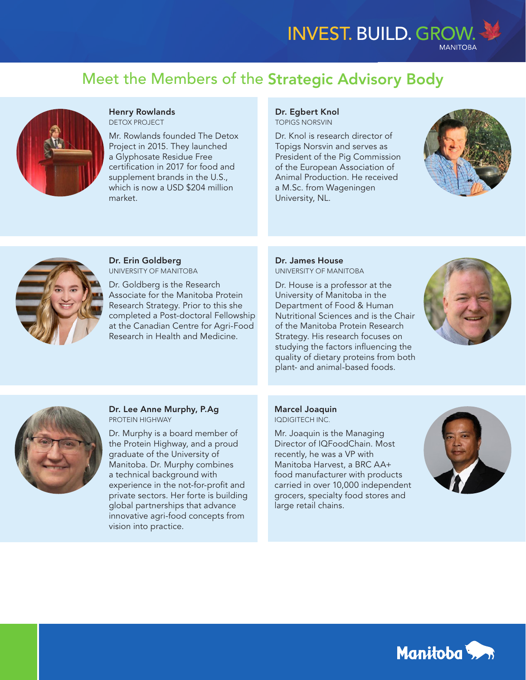# Meet the Members of the Strategic Advisory Body



Henry Rowlands DETOX PROJECT

Mr. Rowlands founded The Detox Project in 2015. They launched a Glyphosate Residue Free certification in 2017 for food and supplement brands in the U.S., which is now a USD \$204 million market.

### Dr. Egbert Knol TOPIGS NORSVIN

Dr. Knol is research director of Topigs Norsvin and serves as President of the Pig Commission of the European Association of Animal Production. He received a M.Sc. from Wageningen University, NL.





Dr. Erin Goldberg UNIVERSITY OF MANITOBA

Dr. Goldberg is the Research Associate for the Manitoba Protein Research Strategy. Prior to this she completed a Post-doctoral Fellowship at the Canadian Centre for Agri-Food Research in Health and Medicine.

#### Dr. James House UNIVERSITY OF MANITOBA

Dr. House is a professor at the University of Manitoba in the Department of Food & Human Nutritional Sciences and is the Chair of the Manitoba Protein Research Strategy. His research focuses on studying the factors influencing the quality of dietary proteins from both plant- and animal-based foods.





### Dr. Lee Anne Murphy, P.Ag PROTEIN HIGHWAY

Dr. Murphy is a board member of the Protein Highway, and a proud graduate of the University of Manitoba. Dr. Murphy combines a technical background with experience in the not-for-profit and private sectors. Her forte is building global partnerships that advance innovative agri-food concepts from vision into practice.

### Marcel Joaquin IQDIGITECH INC.

Mr. Joaquin is the Managing Director of IQFoodChain. Most recently, he was a VP with Manitoba Harvest, a BRC AA+ food manufacturer with products carried in over 10,000 independent grocers, specialty food stores and large retail chains.